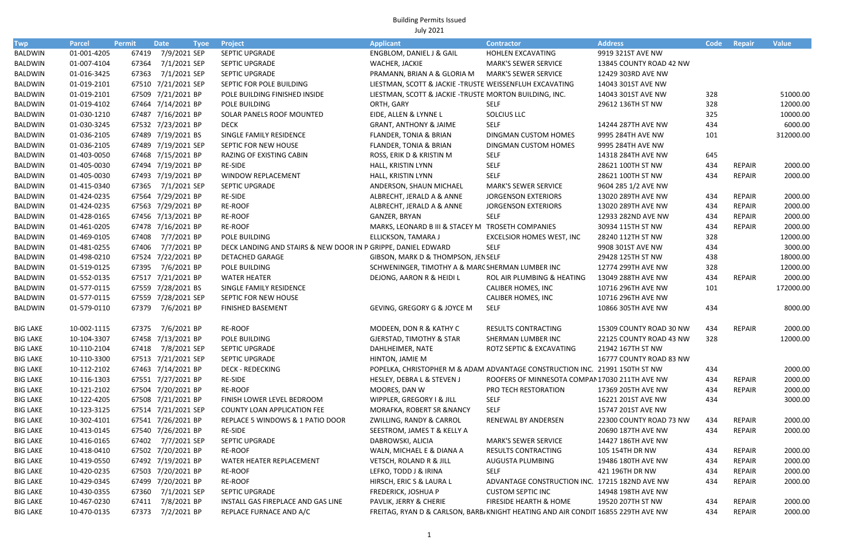| Twp             | <b>Parcel</b> | <b>Permit</b> | <b>Date</b>         | <b>Tyoe</b> | <b>Project</b>                                                | <b>Applicant</b>                                                                 | <b>Contractor</b>                              | <b>Address</b>          | Code | Repair        | <b>Value</b> |
|-----------------|---------------|---------------|---------------------|-------------|---------------------------------------------------------------|----------------------------------------------------------------------------------|------------------------------------------------|-------------------------|------|---------------|--------------|
| BALDWIN         | 01-001-4205   |               | 67419 7/9/2021 SEP  |             | SEPTIC UPGRADE                                                | ENGBLOM, DANIEL J & GAIL                                                         | HOHLEN EXCAVATING                              | 9919 321ST AVE NW       |      |               |              |
| BALDWIN         | 01-007-4104   | 67364         | 7/1/2021 SEP        |             | <b>SEPTIC UPGRADE</b>                                         | WACHER, JACKIE                                                                   | <b>MARK'S SEWER SERVICE</b>                    | 13845 COUNTY ROAD 42 NW |      |               |              |
| <b>BALDWIN</b>  | 01-016-3425   | 67363         | 7/1/2021 SEP        |             | <b>SEPTIC UPGRADE</b>                                         | PRAMANN, BRIAN A & GLORIA M                                                      | <b>MARK'S SEWER SERVICE</b>                    | 12429 303RD AVE NW      |      |               |              |
| BALDWIN         | 01-019-2101   |               | 67510 7/21/2021 SEP |             | SEPTIC FOR POLE BUILDING                                      | LIESTMAN, SCOTT & JACKIE - TRUSTE WEISSENFLUH EXCAVATING                         |                                                | 14043 301ST AVE NW      |      |               |              |
| BALDWIN         | 01-019-2101   |               | 67509 7/21/2021 BP  |             | POLE BUILDING FINISHED INSIDE                                 | LIESTMAN, SCOTT & JACKIE - TRUSTE MORTON BUILDING, INC.                          |                                                | 14043 301ST AVE NW      | 328  |               | 51000.00     |
| BALDWIN         | 01-019-4102   |               | 67464 7/14/2021 BP  |             | POLE BUILDING                                                 | ORTH, GARY                                                                       | <b>SELF</b>                                    | 29612 136TH ST NW       | 328  |               | 12000.00     |
| BALDWIN         | 01-030-1210   |               | 67487 7/16/2021 BP  |             | SOLAR PANELS ROOF MOUNTED                                     | EIDE, ALLEN & LYNNE L                                                            | SOLCIUS LLC                                    |                         | 325  |               | 10000.00     |
| BALDWIN         | 01-030-3245   |               | 67532 7/23/2021 BP  |             | <b>DECK</b>                                                   | <b>GRANT, ANTHONY &amp; JAIME</b>                                                | <b>SELF</b>                                    | 14244 287TH AVE NW      | 434  |               | 6000.00      |
| BALDWIN         | 01-036-2105   |               | 67489 7/19/2021 BS  |             | SINGLE FAMILY RESIDENCE                                       | FLANDER, TONIA & BRIAN                                                           | DINGMAN CUSTOM HOMES                           | 9995 284TH AVE NW       | 101  |               | 312000.00    |
| BALDWIN         | 01-036-2105   |               | 67489 7/19/2021 SEP |             | SEPTIC FOR NEW HOUSE                                          | FLANDER, TONIA & BRIAN                                                           | DINGMAN CUSTOM HOMES                           | 9995 284TH AVE NW       |      |               |              |
| BALDWIN         | 01-403-0050   |               | 67468 7/15/2021 BP  |             | RAZING OF EXISTING CABIN                                      | ROSS, ERIK D & KRISTIN M                                                         | <b>SELF</b>                                    | 14318 284TH AVE NW      | 645  |               |              |
| BALDWIN         | 01-405-0030   |               | 67494 7/19/2021 BP  |             | RE-SIDE                                                       | HALL, KRISTIN LYNN                                                               | <b>SELF</b>                                    | 28621 100TH ST NW       | 434  | REPAIR        | 2000.00      |
| BALDWIN         | 01-405-0030   |               | 67493 7/19/2021 BP  |             | WINDOW REPLACEMENT                                            | HALL, KRISTIN LYNN                                                               | <b>SELF</b>                                    | 28621 100TH ST NW       | 434  | <b>REPAIR</b> | 2000.00      |
| BALDWIN         | 01-415-0340   |               | 67365 7/1/2021 SEP  |             | <b>SEPTIC UPGRADE</b>                                         | ANDERSON, SHAUN MICHAEL                                                          | <b>MARK'S SEWER SERVICE</b>                    | 9604 285 1/2 AVE NW     |      |               |              |
| BALDWIN         | 01-424-0235   |               | 67564 7/29/2021 BP  |             | RE-SIDE                                                       | ALBRECHT, JERALD A & ANNE                                                        | <b>JORGENSON EXTERIORS</b>                     | 13020 289TH AVE NW      | 434  | <b>REPAIR</b> | 2000.00      |
| BALDWIN         | 01-424-0235   |               | 67563 7/29/2021 BP  |             | RE-ROOF                                                       | ALBRECHT, JERALD A & ANNE                                                        | <b>JORGENSON EXTERIORS</b>                     | 13020 289TH AVE NW      | 434  | <b>REPAIR</b> | 2000.00      |
| BALDWIN         | 01-428-0165   |               | 67456 7/13/2021 BP  |             | RE-ROOF                                                       | GANZER, BRYAN                                                                    | <b>SELF</b>                                    | 12933 282ND AVE NW      | 434  | <b>REPAIR</b> | 2000.00      |
| BALDWIN         | 01-461-0205   |               | 67478 7/16/2021 BP  |             | RE-ROOF                                                       | MARKS, LEONARD B III & STACEY M TROSETH COMPANIES                                |                                                | 30934 115TH ST NW       | 434  | <b>REPAIR</b> | 2000.00      |
| BALDWIN         | 01-469-0105   | 67408         | 7/7/2021 BP         |             | POLE BUILDING                                                 | ELLICKSON, TAMARA J                                                              | <b>EXCELSIOR HOMES WEST, INC</b>               | 28240 112TH ST NW       | 328  |               | 12000.00     |
| BALDWIN         | 01-481-0255   | 67406         | 7/7/2021 BP         |             | DECK LANDING AND STAIRS & NEW DOOR IN P GRIPPE, DANIEL EDWARD |                                                                                  | <b>SELF</b>                                    | 9908 301ST AVE NW       | 434  |               | 3000.00      |
| BALDWIN         | 01-498-0210   |               | 67524 7/22/2021 BP  |             | <b>DETACHED GARAGE</b>                                        | GIBSON, MARK D & THOMPSON, JENSELF                                               |                                                | 29428 125TH ST NW       | 438  |               | 18000.00     |
| <b>BALDWIN</b>  | 01-519-0125   | 67395         | 7/6/2021 BP         |             | POLE BUILDING                                                 | SCHWENINGER, TIMOTHY A & MARC SHERMAN LUMBER INC                                 |                                                | 12774 299TH AVE NW      | 328  |               | 12000.00     |
| <b>BALDWIN</b>  | 01-552-0135   |               | 67517 7/21/2021 BP  |             | <b>WATER HEATER</b>                                           | DEJONG, AARON R & HEIDI L                                                        | ROL AIR PLUMBING & HEATING                     | 13049 288TH AVE NW      | 434  | <b>REPAIR</b> | 2000.00      |
| BALDWIN         | 01-577-0115   |               | 67559 7/28/2021 BS  |             | SINGLE FAMILY RESIDENCE                                       |                                                                                  | CALIBER HOMES, INC                             | 10716 296TH AVE NW      | 101  |               | 172000.00    |
| BALDWIN         | 01-577-0115   |               | 67559 7/28/2021 SEP |             | SEPTIC FOR NEW HOUSE                                          |                                                                                  | CALIBER HOMES, INC                             | 10716 296TH AVE NW      |      |               |              |
| <b>BALDWIN</b>  | 01-579-0110   | 67379         | 7/6/2021 BP         |             | <b>FINISHED BASEMENT</b>                                      | <b>GEVING, GREGORY G &amp; JOYCE M</b>                                           | <b>SELF</b>                                    | 10866 305TH AVE NW      | 434  |               | 8000.00      |
|                 |               |               |                     |             |                                                               |                                                                                  |                                                |                         |      |               |              |
| <b>BIG LAKE</b> | 10-002-1115   | 67375         | 7/6/2021 BP         |             | <b>RE-ROOF</b>                                                | MODEEN, DON R & KATHY C                                                          | <b>RESULTS CONTRACTING</b>                     | 15309 COUNTY ROAD 30 NW | 434  | REPAIR        | 2000.00      |
| <b>BIG LAKE</b> | 10-104-3307   |               | 67458 7/13/2021 BP  |             | POLE BUILDING                                                 | <b>GJERSTAD, TIMOTHY &amp; STAR</b>                                              | SHERMAN LUMBER INC                             | 22125 COUNTY ROAD 43 NW | 328  |               | 12000.00     |
| <b>BIG LAKE</b> | 10-110-2104   | 67418         | 7/8/2021 SEP        |             | <b>SEPTIC UPGRADE</b>                                         | DAHLHEIMER, NATE                                                                 | ROTZ SEPTIC & EXCAVATING                       | 21942 167TH ST NW       |      |               |              |
| <b>BIG LAKE</b> | 10-110-3300   |               | 67513 7/21/2021 SEP |             | SEPTIC UPGRADE                                                | HINTON, JAMIE M                                                                  |                                                | 16777 COUNTY ROAD 83 NW |      |               |              |
| <b>BIG LAKE</b> | 10-112-2102   |               | 67463 7/14/2021 BP  |             | <b>DECK - REDECKING</b>                                       | POPELKA, CHRISTOPHER M & ADAM ADVANTAGE CONSTRUCTION INC. 21991 150TH ST NW      |                                                |                         | 434  |               | 2000.00      |
| <b>BIG LAKE</b> | 10-116-1303   |               | 67551 7/27/2021 BP  |             | RE-SIDE                                                       | HESLEY, DEBRA L & STEVEN J                                                       | ROOFERS OF MINNESOTA COMPAN 17030 211TH AVE NW |                         | 434  | <b>REPAIR</b> | 2000.00      |
| <b>BIG LAKE</b> | 10-121-2102   |               | 67504 7/20/2021 BP  |             | RE-ROOF                                                       | MOORES, DAN W                                                                    | PRO TECH RESTORATION                           | 17369 205TH AVE NW      | 434  | <b>REPAIR</b> | 2000.00      |
| <b>BIG LAKE</b> | 10-122-4205   |               | 67508 7/21/2021 BP  |             | FINISH LOWER LEVEL BEDROOM                                    | WIPPLER, GREGORY I & JILL                                                        | <b>SELF</b>                                    | 16221 201ST AVE NW      | 434  |               | 3000.00      |
| <b>BIG LAKE</b> | 10-123-3125   |               | 67514 7/21/2021 SEP |             | COUNTY LOAN APPLICATION FEE                                   | MORAFKA, ROBERT SR &NANCY                                                        | SELF                                           | 15747 201ST AVE NW      |      |               |              |
| <b>BIG LAKE</b> | 10-302-4101   |               | 67541 7/26/2021 BP  |             | REPLACE 5 WINDOWS & 1 PATIO DOOR                              | ZWILLING, RANDY & CARROL                                                         | RENEWAL BY ANDERSEN                            | 22300 COUNTY ROAD 73 NW | 434  | <b>REPAIR</b> | 2000.00      |
| <b>BIG LAKE</b> | 10-413-0145   |               | 67540 7/26/2021 BP  |             | RE-SIDE                                                       | SEESTROM, JAMES T & KELLY A                                                      |                                                | 20690 187TH AVE NW      | 434  | <b>REPAIR</b> | 2000.00      |
| <b>BIG LAKE</b> | 10-416-0165   |               | 67402 7/7/2021 SEP  |             | SEPTIC UPGRADE                                                | DABROWSKI, ALICIA                                                                | <b>MARK'S SEWER SERVICE</b>                    | 14427 186TH AVE NW      |      |               |              |
| <b>BIG LAKE</b> | 10-418-0410   |               | 67502 7/20/2021 BP  |             | RE-ROOF                                                       | WALN, MICHAEL E & DIANA A                                                        | RESULTS CONTRACTING                            | 105 154TH DR NW         | 434  | <b>REPAIR</b> | 2000.00      |
| <b>BIG LAKE</b> | 10-419-0550   |               | 67492 7/19/2021 BP  |             | WATER HEATER REPLACEMENT                                      | VETSCH, ROLAND R & JILL                                                          | AUGUSTA PLUMBING                               | 19486 180TH AVE NW      | 434  | <b>REPAIR</b> | 2000.00      |
| <b>BIG LAKE</b> | 10-420-0235   |               | 67503 7/20/2021 BP  |             | RE-ROOF                                                       | LEFKO, TODD J & IRINA                                                            | <b>SELF</b>                                    | 421 196TH DR NW         | 434  | REPAIR        | 2000.00      |
| <b>BIG LAKE</b> | 10-429-0345   |               | 67499 7/20/2021 BP  |             | RE-ROOF                                                       | HIRSCH, ERIC S & LAURA L                                                         | ADVANTAGE CONSTRUCTION INC. 17215 182ND AVE NW |                         | 434  | <b>REPAIR</b> | 2000.00      |
| <b>BIG LAKE</b> | 10-430-0355   |               | 67360 7/1/2021 SEP  |             | SEPTIC UPGRADE                                                | FREDERICK, JOSHUA P                                                              | <b>CUSTOM SEPTIC INC</b>                       | 14948 198TH AVE NW      |      |               |              |
| <b>BIG LAKE</b> | 10-467-0230   |               | 67411 7/8/2021 BP   |             | INSTALL GAS FIREPLACE AND GAS LINE                            | PAVLIK, JERRY & CHERIE                                                           | FIRESIDE HEARTH & HOME                         | 19520 207TH ST NW       | 434  | REPAIR        | 2000.00      |
| <b>BIG LAKE</b> | 10-470-0135   |               | 67373 7/2/2021 BP   |             | REPLACE FURNACE AND A/C                                       | FREITAG, RYAN D & CARLSON, BARB/KNIGHT HEATING AND AIR CONDIT 16855 229TH AVE NW |                                                |                         | 434  | <b>REPAIR</b> | 2000.00      |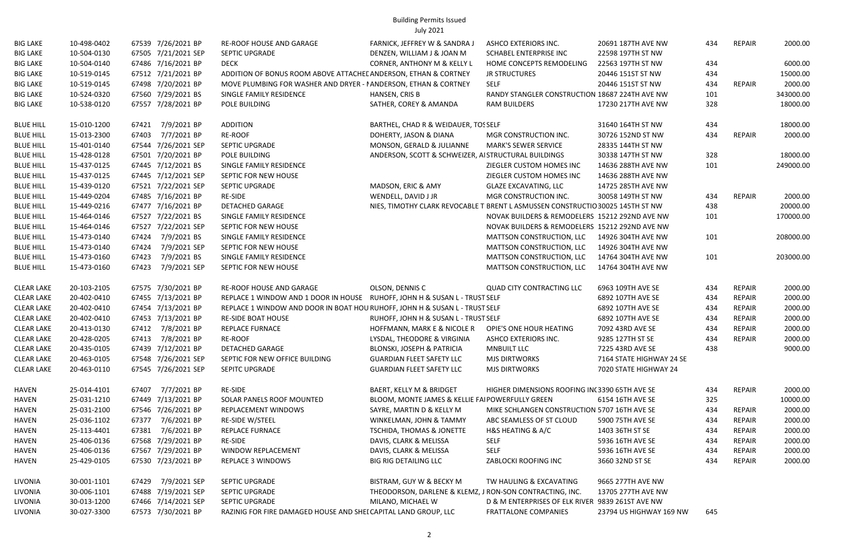| <b>BIG LAKE</b>   | 10-498-0402 | 67539 7/26/2021 BP    | RE-ROOF HOUSE AND GARAGE                                                    | FARNICK, JEFFREY W & SANDRA J                                                  | ASHCO EXTERIORS INC.                             | 20691 187TH AVE NW       | 434 | REPAIR        | 2000.00   |
|-------------------|-------------|-----------------------|-----------------------------------------------------------------------------|--------------------------------------------------------------------------------|--------------------------------------------------|--------------------------|-----|---------------|-----------|
| <b>BIG LAKE</b>   | 10-504-0130 | 67505 7/21/2021 SEP   | <b>SEPTIC UPGRADE</b>                                                       | DENZEN, WILLIAM J & JOAN M                                                     | SCHABEL ENTERPRISE INC                           | 22598 197TH ST NW        |     |               |           |
| <b>BIG LAKE</b>   | 10-504-0140 | 67486 7/16/2021 BP    | <b>DECK</b>                                                                 | <b>CORNER, ANTHONY M &amp; KELLY L</b>                                         | HOME CONCEPTS REMODELING                         | 22563 197TH ST NW        | 434 |               | 6000.00   |
| <b>BIG LAKE</b>   | 10-519-0145 | 67512 7/21/2021 BP    | ADDITION OF BONUS ROOM ABOVE ATTACHEL ANDERSON, ETHAN & CORTNEY             |                                                                                | <b>JR STRUCTURES</b>                             | 20446 151ST ST NW        | 434 |               | 15000.00  |
| <b>BIG LAKE</b>   | 10-519-0145 | 67498 7/20/2021 BP    | MOVE PLUMBING FOR WASHER AND DRYER - I ANDERSON, ETHAN & CORTNEY            |                                                                                | SELF                                             | 20446 151ST ST NW        | 434 | REPAIR        | 2000.00   |
| <b>BIG LAKE</b>   | 10-524-0320 | 67560 7/29/2021 BS    | SINGLE FAMILY RESIDENCE                                                     | HANSEN, CRIS B                                                                 | RANDY STANGLER CONSTRUCTION 18687 224TH AVE NW   |                          | 101 |               | 343000.00 |
| <b>BIG LAKE</b>   | 10-538-0120 | 67557 7/28/2021 BP    | POLE BUILDING                                                               | SATHER, COREY & AMANDA                                                         | <b>RAM BUILDERS</b>                              | 17230 217TH AVE NW       | 328 |               | 18000.00  |
| <b>BLUE HILL</b>  | 15-010-1200 | 67421 7/9/2021 BP     | ADDITION                                                                    | BARTHEL, CHAD R & WEIDAUER, TOSSELF                                            |                                                  | 31640 164TH ST NW        | 434 |               | 18000.00  |
| <b>BLUE HILL</b>  | 15-013-2300 | 67403 7/7/2021 BP     | RE-ROOF                                                                     | DOHERTY, JASON & DIANA                                                         | MGR CONSTRUCTION INC.                            | 30726 152ND ST NW        | 434 | REPAIR        | 2000.00   |
| <b>BLUE HILL</b>  | 15-401-0140 | 67544 7/26/2021 SEP   | SEPTIC UPGRADE                                                              | MONSON, GERALD & JULIANNE                                                      | <b>MARK'S SEWER SERVICE</b>                      | 28335 144TH ST NW        |     |               |           |
| <b>BLUE HILL</b>  | 15-428-0128 | 67501 7/20/2021 BP    | POLE BUILDING                                                               | ANDERSON, SCOTT & SCHWEIZER, AISTRUCTURAL BUILDINGS                            |                                                  | 30338 147TH ST NW        | 328 |               | 18000.00  |
| <b>BLUE HILL</b>  | 15-437-0125 | 67445 7/12/2021 BS    | SINGLE FAMILY RESIDENCE                                                     |                                                                                | ZIEGLER CUSTOM HOMES INC                         | 14636 288TH AVE NW       | 101 |               | 249000.00 |
| <b>BLUE HILL</b>  | 15-437-0125 | 67445 7/12/2021 SEP   | SEPTIC FOR NEW HOUSE                                                        |                                                                                | ZIEGLER CUSTOM HOMES INC                         | 14636 288TH AVE NW       |     |               |           |
| <b>BLUE HILL</b>  | 15-439-0120 | 67521 7/22/2021 SEP   | SEPTIC UPGRADE                                                              | MADSON, ERIC & AMY                                                             | <b>GLAZE EXCAVATING, LLC</b>                     | 14725 285TH AVE NW       |     |               |           |
| <b>BLUE HILL</b>  | 15-449-0204 | 67485 7/16/2021 BP    | RE-SIDE                                                                     | WENDELL, DAVID J JR                                                            | MGR CONSTRUCTION INC.                            | 30058 149TH ST NW        | 434 | REPAIR        | 2000.00   |
| <b>BLUE HILL</b>  | 15-449-0216 | 67477 7/16/2021 BP    | <b>DETACHED GARAGE</b>                                                      | NIES, TIMOTHY CLARK REVOCABLE T BRENT L ASMUSSEN CONSTRUCTIO 30025 145TH ST NW |                                                  |                          | 438 |               | 20000.00  |
| <b>BLUE HILL</b>  | 15-464-0146 | 67527 7/22/2021 BS    | SINGLE FAMILY RESIDENCE                                                     |                                                                                | NOVAK BUILDERS & REMODELERS 15212 292ND AVE NW   |                          | 101 |               | 170000.00 |
| <b>BLUE HILL</b>  | 15-464-0146 | 67527 7/22/2021 SEP   | SEPTIC FOR NEW HOUSE                                                        |                                                                                | NOVAK BUILDERS & REMODELERS 15212 292ND AVE NW   |                          |     |               |           |
| <b>BLUE HILL</b>  | 15-473-0140 | 7/9/2021 BS<br>67424  | SINGLE FAMILY RESIDENCE                                                     |                                                                                | MATTSON CONSTRUCTION, LLC                        | 14926 304TH AVE NW       | 101 |               | 208000.00 |
| <b>BLUE HILL</b>  | 15-473-0140 | 67424<br>7/9/2021 SEP | SEPTIC FOR NEW HOUSE                                                        |                                                                                | MATTSON CONSTRUCTION, LLC                        | 14926 304TH AVE NW       |     |               |           |
| <b>BLUE HILL</b>  | 15-473-0160 | 67423<br>7/9/2021 BS  | SINGLE FAMILY RESIDENCE                                                     |                                                                                | MATTSON CONSTRUCTION, LLC                        | 14764 304TH AVE NW       | 101 |               | 203000.00 |
| <b>BLUE HILL</b>  | 15-473-0160 | 67423<br>7/9/2021 SEP | SEPTIC FOR NEW HOUSE                                                        |                                                                                | MATTSON CONSTRUCTION, LLC                        | 14764 304TH AVE NW       |     |               |           |
| <b>CLEAR LAKE</b> | 20-103-2105 | 67575 7/30/2021 BP    | <b>RE-ROOF HOUSE AND GARAGE</b>                                             | OLSON, DENNIS C                                                                | <b>QUAD CITY CONTRACTING LLC</b>                 | 6963 109TH AVE SE        | 434 | <b>REPAIR</b> | 2000.00   |
| <b>CLEAR LAKE</b> | 20-402-0410 | 67455 7/13/2021 BP    | REPLACE 1 WINDOW AND 1 DOOR IN HOUSE RUHOFF, JOHN H & SUSAN L - TRUST SELF  |                                                                                |                                                  | 6892 107TH AVE SE        | 434 | <b>REPAIR</b> | 2000.00   |
| <b>CLEAR LAKE</b> | 20-402-0410 | 67454 7/13/2021 BP    | REPLACE 1 WINDOW AND DOOR IN BOAT HOU RUHOFF, JOHN H & SUSAN L - TRUST SELF |                                                                                |                                                  | 6892 107TH AVE SE        | 434 | <b>REPAIR</b> | 2000.00   |
| <b>CLEAR LAKE</b> | 20-402-0410 | 67453 7/13/2021 BP    | <b>RE-SIDE BOAT HOUSE</b>                                                   | RUHOFF, JOHN H & SUSAN L - TRUST SELF                                          |                                                  | 6892 107TH AVE SE        | 434 | <b>REPAIR</b> | 2000.00   |
| <b>CLEAR LAKE</b> | 20-413-0130 | 67412 7/8/2021 BP     | <b>REPLACE FURNACE</b>                                                      | HOFFMANN, MARK E & NICOLE R                                                    | OPIE'S ONE HOUR HEATING                          | 7092 43RD AVE SE         | 434 | <b>REPAIR</b> | 2000.00   |
| <b>CLEAR LAKE</b> | 20-428-0205 | 67413 7/8/2021 BP     | RE-ROOF                                                                     | LYSDAL, THEODORE & VIRGINIA                                                    | ASHCO EXTERIORS INC.                             | 9285 127TH ST SE         | 434 | <b>REPAIR</b> | 2000.00   |
| <b>CLEAR LAKE</b> | 20-435-0105 | 67439 7/12/2021 BP    | <b>DETACHED GARAGE</b>                                                      | <b>BLONSKI, JOSEPH &amp; PATRICIA</b>                                          | <b>MNBUILT LLC</b>                               | 7225 43RD AVE SE         | 438 |               | 9000.00   |
| <b>CLEAR LAKE</b> | 20-463-0105 | 67548 7/26/2021 SEP   | SEPTIC FOR NEW OFFICE BUILDING                                              | <b>GUARDIAN FLEET SAFETY LLC</b>                                               | <b>MJS DIRTWORKS</b>                             | 7164 STATE HIGHWAY 24 SE |     |               |           |
| <b>CLEAR LAKE</b> | 20-463-0110 | 67545 7/26/2021 SEP   | SEPITC UPGRADE                                                              | <b>GUARDIAN FLEET SAFETY LLC</b>                                               | <b>MJS DIRTWORKS</b>                             | 7020 STATE HIGHWAY 24    |     |               |           |
| <b>HAVEN</b>      | 25-014-4101 | 67407 7/7/2021 BP     | RE-SIDE                                                                     | BAERT, KELLY M & BRIDGET                                                       | HIGHER DIMENSIONS ROOFING IN (3390 65TH AVE SE   |                          | 434 | <b>REPAIR</b> | 2000.00   |
| <b>HAVEN</b>      | 25-031-1210 | 67449 7/13/2021 BP    | SOLAR PANELS ROOF MOUNTED                                                   | BLOOM, MONTE JAMES & KELLIE FAI POWERFULLY GREEN                               |                                                  | 6154 16TH AVE SE         | 325 |               | 10000.00  |
| <b>HAVEN</b>      | 25-031-2100 | 67546 7/26/2021 BP    | REPLACEMENT WINDOWS                                                         | SAYRE, MARTIN D & KELLY M                                                      | MIKE SCHLANGEN CONSTRUCTION 5707 16TH AVE SE     |                          | 434 | REPAIR        | 2000.00   |
| <b>HAVEN</b>      | 25-036-1102 | 67377 7/6/2021 BP     | RE-SIDE W/STEEL                                                             | WINKELMAN, JOHN & TAMMY                                                        | ABC SEAMLESS OF ST CLOUD                         | 5900 75TH AVE SE         | 434 | <b>REPAIR</b> | 2000.00   |
| <b>HAVEN</b>      | 25-113-4401 | 67381 7/6/2021 BP     | REPLACE FURNACE                                                             | <b>TSCHIDA, THOMAS &amp; JONETTE</b>                                           | H&S HEATING & A/C                                | 1403 36TH ST SE          | 434 | <b>REPAIR</b> | 2000.00   |
| <b>HAVEN</b>      | 25-406-0136 | 67568 7/29/2021 BP    | RE-SIDE                                                                     | DAVIS, CLARK & MELISSA                                                         | <b>SELF</b>                                      | 5936 16TH AVE SE         | 434 | REPAIR        | 2000.00   |
| <b>HAVEN</b>      | 25-406-0136 | 67567 7/29/2021 BP    | WINDOW REPLACEMENT                                                          | DAVIS, CLARK & MELISSA                                                         | <b>SELF</b>                                      | 5936 16TH AVE SE         | 434 | <b>REPAIR</b> | 2000.00   |
| <b>HAVEN</b>      | 25-429-0105 | 67530 7/23/2021 BP    | <b>REPLACE 3 WINDOWS</b>                                                    | <b>BIG RIG DETAILING LLC</b>                                                   | ZABLOCKI ROOFING INC                             | 3660 32ND ST SE          | 434 | REPAIR        | 2000.00   |
| LIVONIA           | 30-001-1101 | 67429 7/9/2021 SEP    | SEPTIC UPGRADE                                                              | BISTRAM, GUY W & BECKY M                                                       | TW HAULING & EXCAVATING                          | 9665 277TH AVE NW        |     |               |           |
| LIVONIA           | 30-006-1101 | 67488 7/19/2021 SEP   | <b>SEPTIC UPGRADE</b>                                                       | THEODORSON, DARLENE & KLEMZ, J RON-SON CONTRACTING, INC.                       |                                                  | 13705 277TH AVE NW       |     |               |           |
| LIVONIA           | 30-013-1200 | 67466 7/14/2021 SEP   | <b>SEPTIC UPGRADE</b>                                                       | MILANO, MICHAEL W                                                              | D & M ENTERPRISES OF ELK RIVER 9839 261ST AVE NW |                          |     |               |           |
| LIVONIA           | 30-027-3300 | 67573 7/30/2021 BP    | RAZINIG FOR FIRE DAMAGED HOUSE AND SHEI CAPITAL LAND GROUP, LLC             |                                                                                | <b>FRATTALONE COMPANIES</b>                      | 23794 US HIGHWAY 169 NW  | 645 |               |           |
|                   |             |                       |                                                                             |                                                                                |                                                  |                          |     |               |           |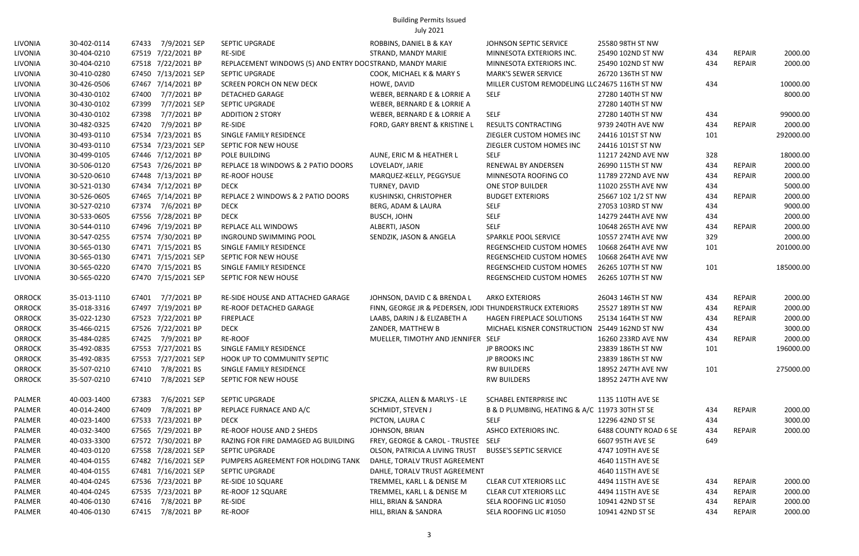| LIVONIA       | 30-402-0114 | 7/9/2021 SEP<br>67433 | SEPTIC UPGRADE                                            | ROBBINS, DANIEL B & KAY                                  | JOHNSON SEPTIC SERVICE                         | 25580 98TH ST NW      |     |               |           |
|---------------|-------------|-----------------------|-----------------------------------------------------------|----------------------------------------------------------|------------------------------------------------|-----------------------|-----|---------------|-----------|
| LIVONIA       | 30-404-0210 | 67519 7/22/2021 BP    | <b>RE-SIDE</b>                                            | STRAND, MANDY MARIE                                      | MINNESOTA EXTERIORS INC.                       | 25490 102ND ST NW     | 434 | REPAIR        | 2000.00   |
| LIVONIA       | 30-404-0210 | 67518 7/22/2021 BP    | REPLACEMENT WINDOWS (5) AND ENTRY DOC STRAND, MANDY MARIE |                                                          | MINNESOTA EXTERIORS INC.                       | 25490 102ND ST NW     | 434 | <b>REPAIR</b> | 2000.00   |
| LIVONIA       | 30-410-0280 | 67450 7/13/2021 SEP   | SEPTIC UPGRADE                                            | COOK, MICHAEL K & MARY S                                 | <b>MARK'S SEWER SERVICE</b>                    | 26720 136TH ST NW     |     |               |           |
| LIVONIA       | 30-426-0506 | 67467 7/14/2021 BP    | <b>SCREEN PORCH ON NEW DECK</b>                           | HOWE, DAVID                                              | MILLER CUSTOM REMODELING LLC 24675 116TH ST NW |                       | 434 |               | 10000.00  |
| LIVONIA       | 30-430-0102 | 7/7/2021 BP<br>67400  | <b>DETACHED GARAGE</b>                                    | WEBER, BERNARD E & LORRIE A                              | <b>SELF</b>                                    | 27280 140TH ST NW     |     |               | 8000.00   |
| LIVONIA       | 30-430-0102 | 67399<br>7/7/2021 SEP | SEPTIC UPGRADE                                            | WEBER, BERNARD E & LORRIE A                              |                                                | 27280 140TH ST NW     |     |               |           |
| LIVONIA       | 30-430-0102 | 67398<br>7/7/2021 BP  | <b>ADDITION 2 STORY</b>                                   | WEBER, BERNARD E & LORRIE A                              | <b>SELF</b>                                    | 27280 140TH ST NW     | 434 |               | 99000.00  |
| LIVONIA       | 30-482-0325 | 67420<br>7/9/2021 BP  | RE-SIDE                                                   | FORD, GARY BRENT & KRISTINE L                            | <b>RESULTS CONTRACTING</b>                     | 9739 240TH AVE NW     | 434 | <b>REPAIR</b> | 2000.00   |
| LIVONIA       | 30-493-0110 | 67534 7/23/2021 BS    | SINGLE FAMILY RESIDENCE                                   |                                                          | ZIEGLER CUSTOM HOMES INC                       | 24416 101ST ST NW     | 101 |               | 292000.00 |
| LIVONIA       | 30-493-0110 | 67534 7/23/2021 SEP   | SEPTIC FOR NEW HOUSE                                      |                                                          | ZIEGLER CUSTOM HOMES INC                       | 24416 101ST ST NW     |     |               |           |
| LIVONIA       | 30-499-0105 | 67446 7/12/2021 BP    | POLE BUILDING                                             | AUNE, ERIC M & HEATHER L                                 | <b>SELF</b>                                    | 11217 242ND AVE NW    | 328 |               | 18000.00  |
| LIVONIA       | 30-506-0120 | 67543 7/26/2021 BP    | REPLACE 18 WINDOWS & 2 PATIO DOORS                        | LOVELADY, JARIE                                          | RENEWAL BY ANDERSEN                            | 26990 115TH ST NW     | 434 | <b>REPAIR</b> | 2000.00   |
| LIVONIA       | 30-520-0610 | 67448 7/13/2021 BP    | <b>RE-ROOF HOUSE</b>                                      | MARQUEZ-KELLY, PEGGYSUE                                  | MINNESOTA ROOFING CO                           | 11789 272ND AVE NW    | 434 | REPAIR        | 2000.00   |
| LIVONIA       | 30-521-0130 | 67434 7/12/2021 BP    | <b>DECK</b>                                               | TURNEY, DAVID                                            | ONE STOP BUILDER                               | 11020 255TH AVE NW    | 434 |               | 5000.00   |
| LIVONIA       | 30-526-0605 | 67465 7/14/2021 BP    | REPLACE 2 WINDOWS & 2 PATIO DOORS                         | KUSHINSKI, CHRISTOPHER                                   | <b>BUDGET EXTERIORS</b>                        | 25667 102 1/2 ST NW   | 434 | <b>REPAIR</b> | 2000.00   |
| LIVONIA       | 30-527-0210 | 67374 7/6/2021 BP     | <b>DECK</b>                                               | BERG, ADAM & LAURA                                       | <b>SELF</b>                                    | 27053 103RD ST NW     | 434 |               | 9000.00   |
| LIVONIA       | 30-533-0605 | 67556 7/28/2021 BP    | <b>DECK</b>                                               | <b>BUSCH, JOHN</b>                                       | <b>SELF</b>                                    | 14279 244TH AVE NW    | 434 |               | 2000.00   |
| LIVONIA       | 30-544-0110 | 67496 7/19/2021 BP    | REPLACE ALL WINDOWS                                       | ALBERTI, JASON                                           | <b>SELF</b>                                    | 10648 265TH AVE NW    | 434 | <b>REPAIR</b> | 2000.00   |
| LIVONIA       | 30-547-0255 | 67574 7/30/2021 BP    | INGROUND SWIMMING POOL                                    | SENDZIK, JASON & ANGELA                                  | <b>SPARKLE POOL SERVICE</b>                    | 10557 274TH AVE NW    | 329 |               | 2000.00   |
| LIVONIA       | 30-565-0130 | 67471 7/15/2021 BS    | SINGLE FAMILY RESIDENCE                                   |                                                          | REGENSCHEID CUSTOM HOMES                       | 10668 264TH AVE NW    | 101 |               | 201000.00 |
| LIVONIA       | 30-565-0130 | 67471 7/15/2021 SEP   | SEPTIC FOR NEW HOUSE                                      |                                                          | REGENSCHEID CUSTOM HOMES                       | 10668 264TH AVE NW    |     |               |           |
| LIVONIA       | 30-565-0220 | 67470 7/15/2021 BS    | SINGLE FAMILY RESIDENCE                                   |                                                          | REGENSCHEID CUSTOM HOMES                       | 26265 107TH ST NW     | 101 |               | 185000.00 |
| LIVONIA       | 30-565-0220 | 67470 7/15/2021 SEP   | SEPTIC FOR NEW HOUSE                                      |                                                          | REGENSCHEID CUSTOM HOMES                       | 26265 107TH ST NW     |     |               |           |
| <b>ORROCK</b> | 35-013-1110 | 7/7/2021 BP<br>67401  | RE-SIDE HOUSE AND ATTACHED GARAGE                         | JOHNSON, DAVID C & BRENDA L                              | <b>ARKO EXTERIORS</b>                          | 26043 146TH ST NW     | 434 | REPAIR        | 2000.00   |
| <b>ORROCK</b> | 35-018-3316 | 67497 7/19/2021 BP    | RE-ROOF DETACHED GARAGE                                   | FINN, GEORGE JR & PEDERSEN, JODI THUNDERSTRUCK EXTERIORS |                                                | 25527 189TH ST NW     | 434 | <b>REPAIR</b> | 2000.00   |
| <b>ORROCK</b> | 35-022-1230 | 67523 7/22/2021 BP    | FIREPLACE                                                 | LAABS, DARIN J & ELIZABETH A                             | HAGEN FIREPLACE SOLUTIONS                      | 25134 164TH ST NW     | 434 | <b>REPAIR</b> | 2000.00   |
| <b>ORROCK</b> | 35-466-0215 | 67526 7/22/2021 BP    | <b>DECK</b>                                               | ZANDER, MATTHEW B                                        | MICHAEL KISNER CONSTRUCTION                    | 25449 162ND ST NW     | 434 |               | 3000.00   |
| <b>ORROCK</b> | 35-484-0285 | 67425 7/9/2021 BP     | RE-ROOF                                                   | MUELLER, TIMOTHY AND JENNIFER SELF                       |                                                | 16260 233RD AVE NW    | 434 | REPAIR        | 2000.00   |
| <b>ORROCK</b> | 35-492-0835 | 67553 7/27/2021 BS    | SINGLE FAMILY RESIDENCE                                   |                                                          | JP BROOKS INC                                  | 23839 186TH ST NW     | 101 |               | 196000.00 |
| <b>ORROCK</b> | 35-492-0835 | 67553 7/27/2021 SEP   | HOOK UP TO COMMUNITY SEPTIC                               |                                                          | JP BROOKS INC                                  | 23839 186TH ST NW     |     |               |           |
| <b>ORROCK</b> | 35-507-0210 | 67410 7/8/2021 BS     | SINGLE FAMILY RESIDENCE                                   |                                                          | <b>RW BUILDERS</b>                             | 18952 247TH AVE NW    | 101 |               | 275000.00 |
| <b>ORROCK</b> | 35-507-0210 | 67410 7/8/2021 SEP    | SEPTIC FOR NEW HOUSE                                      |                                                          | <b>RW BUILDERS</b>                             | 18952 247TH AVE NW    |     |               |           |
| PALMER        | 40-003-1400 | 7/6/2021 SEP<br>67383 | SEPTIC UPGRADE                                            | SPICZKA, ALLEN & MARLYS - LE                             | SCHABEL ENTERPRISE INC                         | 1135 110TH AVE SE     |     |               |           |
| PALMER        | 40-014-2400 | 7/8/2021 BP<br>67409  | REPLACE FURNACE AND A/C                                   | SCHMIDT, STEVEN J                                        | B & D PLUMBING, HEATING & A/C 11973 30TH ST SE |                       | 434 | <b>REPAIR</b> | 2000.00   |
| PALMER        | 40-023-1400 | 67533 7/23/2021 BP    | <b>DECK</b>                                               | PICTON, LAURA C                                          | SELF                                           | 12296 42ND ST SE      | 434 |               | 3000.00   |
| PALMER        | 40-032-3400 | 67565 7/29/2021 BP    | RE-ROOF HOUSE AND 2 SHEDS                                 | JOHNSON, BRIAN                                           | ASHCO EXTERIORS INC.                           | 6488 COUNTY ROAD 6 SE | 434 | REPAIR        | 2000.00   |
| PALMER        | 40-033-3300 | 67572 7/30/2021 BP    | RAZING FOR FIRE DAMAGED AG BUILDING                       | FREY, GEORGE & CAROL - TRUSTEE SELF                      |                                                | 6607 95TH AVE SE      | 649 |               |           |
| PALMER        | 40-403-0120 | 67558 7/28/2021 SEP   | SEPTIC UPGRADE                                            | OLSON, PATRICIA A LIVING TRUST BUSSE'S SEPTIC SERVICE    |                                                | 4747 109TH AVE SE     |     |               |           |
| PALMER        | 40-404-0155 | 67482 7/16/2021 SEP   | PUMPERS AGREEMENT FOR HOLDING TANK                        | DAHLE, TORALV TRUST AGREEMENT                            |                                                | 4640 115TH AVE SE     |     |               |           |
| PALMER        | 40-404-0155 | 67481 7/16/2021 SEP   | <b>SEPTIC UPGRADE</b>                                     | DAHLE, TORALV TRUST AGREEMENT                            |                                                | 4640 115TH AVE SE     |     |               |           |
| PALMER        | 40-404-0245 | 67536 7/23/2021 BP    | RE-SIDE 10 SQUARE                                         | TREMMEL, KARL L & DENISE M                               | <b>CLEAR CUT XTERIORS LLC</b>                  | 4494 115TH AVE SE     | 434 | <b>REPAIR</b> | 2000.00   |
| PALMER        | 40-404-0245 | 67535 7/23/2021 BP    | RE-ROOF 12 SQUARE                                         | TREMMEL, KARL L & DENISE M                               | <b>CLEAR CUT XTERIORS LLC</b>                  | 4494 115TH AVE SE     | 434 | REPAIR        | 2000.00   |
| PALMER        | 40-406-0130 | 67416 7/8/2021 BP     | RE-SIDE                                                   | HILL, BRIAN & SANDRA                                     | SELA ROOFING LIC #1050                         | 10941 42ND ST SE      | 434 | <b>REPAIR</b> | 2000.00   |
| PALMER        | 40-406-0130 | 7/8/2021 BP<br>67415  | RE-ROOF                                                   | HILL, BRIAN & SANDRA                                     | SELA ROOFING LIC #1050                         | 10941 42ND ST SE      | 434 | <b>REPAIR</b> | 2000.00   |